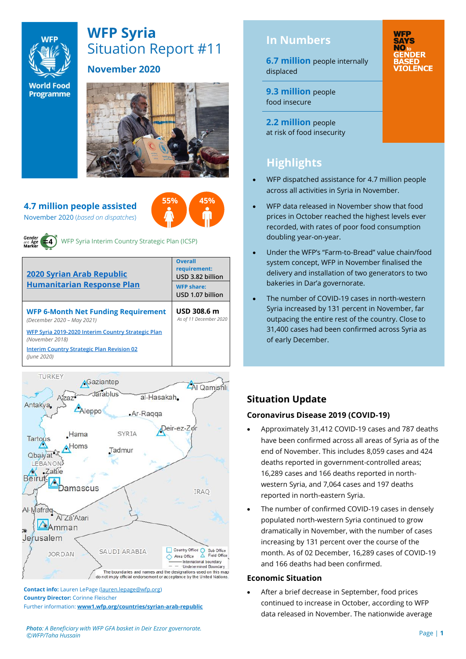

# **WFP Syria** Situation Report #11

**World Food Programme** 

### **November 2020**



**55% 45%**

**4.7 million people assisted**  November 2020 (*based on dispatches*)



WFP Syria Interim Country Strategic Plan (ICSP)

| <b>2020 Syrian Arab Republic</b><br><b>Humanitarian Response Plan</b>    | <b>Overall</b><br>requirement:<br>USD 3.82 billion<br><b>WFP share:</b><br>USD 1.07 billion |  |  |
|--------------------------------------------------------------------------|---------------------------------------------------------------------------------------------|--|--|
| <b>WFP 6-Month Net Funding Requirement</b><br>(December 2020 - May 2021) | USD 308.6 m<br>As of 11 December 2020                                                       |  |  |
| WFP Syria 2019-2020 Interim Country Strategic Plan<br>(November 2018)    |                                                                                             |  |  |
| <b>Interim Country Strategic Plan Revision 02</b><br>(lune 2020)         |                                                                                             |  |  |



**Contact info:** Lauren LePage [\(lauren.lepage@wfp.org\)](mailto:lauren.lepage@wfp.org) **Country Director:** Corinne Fleischer Further information: **[www1.wfp.org/countries/syrian-arab-republic](file:///C:/Users/lauren.lepage/AppData/Local/Microsoft/Windows/INetCache/Content.Outlook/HTRVWXQN/www1.wfp.org/countries/syrian-arab-republic)** **6.7 million** people internally displaced

**WFP** 

**SAYS** NO<sub>to</sub> **GENDER TOLENCE** 

**9.3 million** people food insecure

**2.2 million** people at risk of food insecurity

# **Highlights**

- WFP dispatched assistance for 4.7 million people across all activities in Syria in November.
- WFP data released in November show that food prices in October reached the highest levels ever recorded, with rates of poor food consumption doubling year-on-year.
- Under the WFP's "Farm-to-Bread" value chain/food system concept, WFP in November finalised the delivery and installation of two generators to two bakeries in Dar'a governorate.
- The number of COVID-19 cases in north-western Syria increased by 131 percent in November, far outpacing the entire rest of the country. Close to 31,400 cases had been confirmed across Syria as of early December.

## **Situation Update**

#### **Coronavirus Disease 2019 (COVID-19)**

- Approximately 31,412 COVID-19 cases and 787 deaths have been confirmed across all areas of Syria as of the end of November. This includes 8,059 cases and 424 deaths reported in government-controlled areas; 16,289 cases and 166 deaths reported in northwestern Syria, and 7,064 cases and 197 deaths reported in north-eastern Syria.
- The number of confirmed COVID-19 cases in densely populated north-western Syria continued to grow dramatically in November, with the number of cases increasing by 131 percent over the course of the month. As of 02 December, 16,289 cases of COVID-19 and 166 deaths had been confirmed.

#### **Economic Situation**

After a brief decrease in September, food prices continued to increase in October, according to WFP data released in November. The nationwide average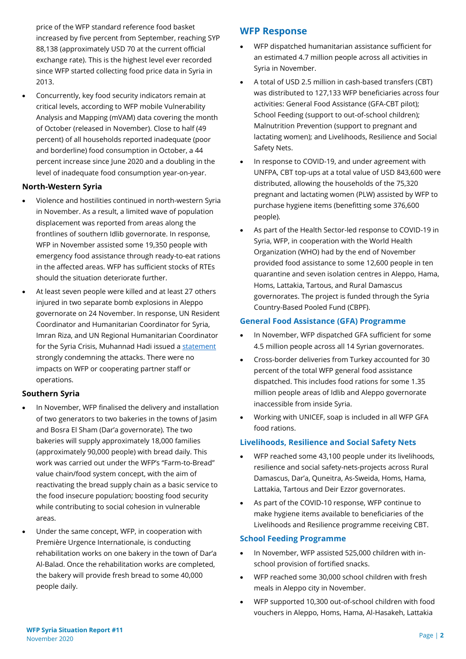price of the WFP standard reference food basket increased by five percent from September, reaching SYP 88,138 (approximately USD 70 at the current official exchange rate). This is the highest level ever recorded since WFP started collecting food price data in Syria in 2013.

• Concurrently, key food security indicators remain at critical levels, according to WFP mobile Vulnerability Analysis and Mapping (mVAM) data covering the month of October (released in November). Close to half (49 percent) of all households reported inadequate (poor and borderline) food consumption in October, a 44 percent increase since June 2020 and a doubling in the level of inadequate food consumption year-on-year.

#### **North-Western Syria**

- Violence and hostilities continued in north-western Syria in November. As a result, a limited wave of population displacement was reported from areas along the frontlines of southern Idlib governorate. In response, WFP in November assisted some 19,350 people with emergency food assistance through ready-to-eat rations in the affected areas. WFP has sufficient stocks of RTEs should the situation deteriorate further.
- At least seven people were killed and at least 27 others injured in two separate bomb explosions in Aleppo governorate on 24 November. In response, UN Resident Coordinator and Humanitarian Coordinator for Syria, Imran Riza, and UN Regional Humanitarian Coordinator for the Syria Crisis, Muhannad Hadi issued a [statement](https://reliefweb.int/report/syrian-arab-republic/united-nations-resident-coordinator-and-humanitarian-coordinator-syria-4) strongly condemning the attacks. There were no impacts on WFP or cooperating partner staff or operations.

#### **Southern Syria**

- In November, WFP finalised the delivery and installation of two generators to two bakeries in the towns of Jasim and Bosra El Sham (Dar'a governorate). The two bakeries will supply approximately 18,000 families (approximately 90,000 people) with bread daily. This work was carried out under the WFP's "Farm-to-Bread" value chain/food system concept, with the aim of reactivating the bread supply chain as a basic service to the food insecure population; boosting food security while contributing to social cohesion in vulnerable areas.
- Under the same concept, WFP, in cooperation with Première Urgence Internationale, is conducting rehabilitation works on one bakery in the town of Dar'a Al-Balad. Once the rehabilitation works are completed, the bakery will provide fresh bread to some 40,000 people daily.

#### **WFP Response**

- WFP dispatched humanitarian assistance sufficient for an estimated 4.7 million people across all activities in Syria in November.
- A total of USD 2.5 million in cash-based transfers (CBT) was distributed to 127,133 WFP beneficiaries across four activities: General Food Assistance (GFA-CBT pilot); School Feeding (support to out-of-school children); Malnutrition Prevention (support to pregnant and lactating women); and Livelihoods, Resilience and Social Safety Nets.
- In response to COVID-19, and under agreement with UNFPA, CBT top-ups at a total value of USD 843,600 were distributed, allowing the households of the 75,320 pregnant and lactating women (PLW) assisted by WFP to purchase hygiene items (benefitting some 376,600 people).
- As part of the Health Sector-led response to COVID-19 in Syria, WFP, in cooperation with the World Health Organization (WHO) had by the end of November provided food assistance to some 12,600 people in ten quarantine and seven isolation centres in Aleppo, Hama, Homs, Lattakia, Tartous, and Rural Damascus governorates. The project is funded through the Syria Country-Based Pooled Fund (CBPF).

#### **General Food Assistance (GFA) Programme**

- In November, WFP dispatched GFA sufficient for some 4.5 million people across all 14 Syrian governorates.
- Cross-border deliveries from Turkey accounted for 30 percent of the total WFP general food assistance dispatched. This includes food rations for some 1.35 million people areas of Idlib and Aleppo governorate inaccessible from inside Syria.
- Working with UNICEF, soap is included in all WFP GFA food rations.

#### **Livelihoods, Resilience and Social Safety Nets**

- WFP reached some 43,100 people under its livelihoods, resilience and social safety-nets-projects across Rural Damascus, Dar'a, Quneitra, As-Sweida, Homs, Hama, Lattakia, Tartous and Deir Ezzor governorates.
- As part of the COVID-10 response, WFP continue to make hygiene items available to beneficiaries of the Livelihoods and Resilience programme receiving CBT.

#### **School Feeding Programme**

- In November, WFP assisted 525,000 children with inschool provision of fortified snacks.
- WFP reached some 30,000 school children with fresh meals in Aleppo city in November.
- WFP supported 10,300 out-of-school children with food vouchers in Aleppo, Homs, Hama, Al-Hasakeh, Lattakia